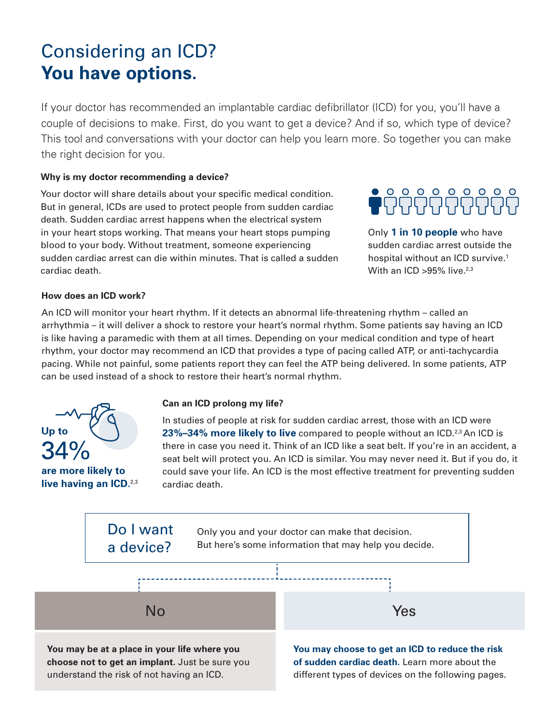# Considering an ICD? **You have options.**

If your doctor has recommended an implantable cardiac defibrillator (ICD) for you, you'll have a couple of decisions to make. First, do you want to get a device? And if so, which type of device? This tool and conversations with your doctor can help you learn more. So together you can make the right decision for you.

#### **Why is my doctor recommending a device?**

Your doctor will share details about your specific medical condition. But in general, ICDs are used to protect people from sudden cardiac death. Sudden cardiac arrest happens when the electrical system in your heart stops working. That means your heart stops pumping blood to your body. Without treatment, someone experiencing sudden cardiac arrest can die within minutes. That is called a sudden cardiac death.

Only **1 in 10 people** who have sudden cardiac arrest outside the hospital without an ICD survive.<sup>1</sup> With an ICD  $>95\%$  live.<sup>2,3</sup>

#### **How does an ICD work?**

An ICD will monitor your heart rhythm. If it detects an abnormal life-threatening rhythm – called an arrhythmia – it will deliver a shock to restore your heart's normal rhythm. Some patients say having an ICD is like having a paramedic with them at all times. Depending on your medical condition and type of heart rhythm, your doctor may recommend an ICD that provides a type of pacing called ATP, or anti-tachycardia pacing. While not painful, some patients report they can feel the ATP being delivered. In some patients, ATP can be used instead of a shock to restore their heart's normal rhythm.



**are more likely to live having an ICD.**2,3

#### **Can an ICD prolong my life?**

In studies of people at risk for sudden cardiac arrest, those with an ICD were **23%-34% more likely to live** compared to people without an ICD.<sup>2,3</sup> An ICD is there in case you need it. Think of an ICD like a seat belt. If you're in an accident, a seat belt will protect you. An ICD is similar. You may never need it. But if you do, it could save your life. An ICD is the most effective treatment for preventing sudden cardiac death.

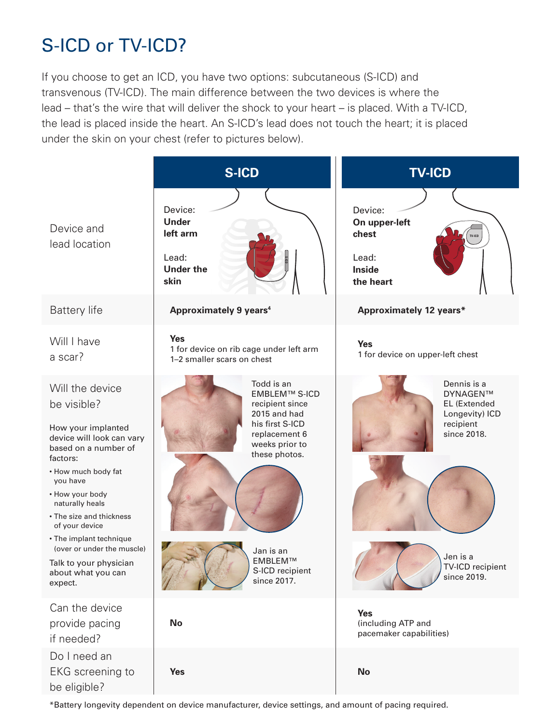# S-ICD or TV-ICD?

If you choose to get an ICD, you have two options: subcutaneous (S-ICD) and transvenous (TV-ICD). The main difference between the two devices is where the lead – that's the wire that will deliver the shock to your heart – is placed. With a TV-ICD, the lead is placed inside the heart. An S-ICD's lead does not touch the heart; it is placed under the skin on your chest (refer to pictures below).



\*Battery longevity dependent on device manufacturer, device settings, and amount of pacing required.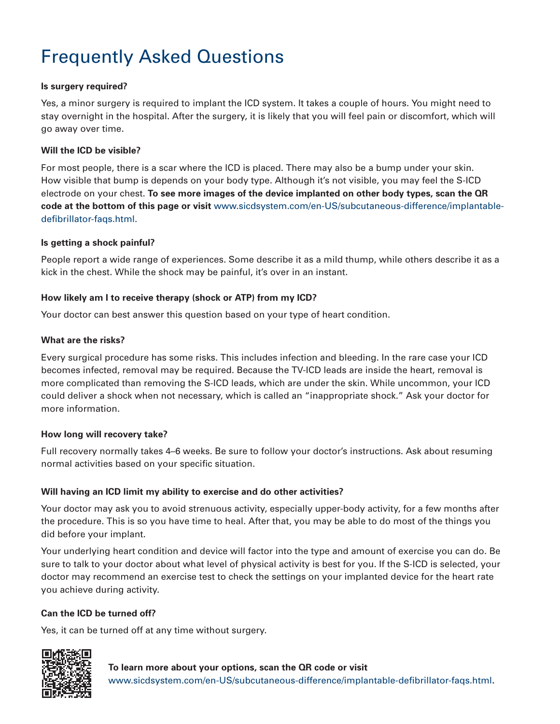# Frequently Asked Questions

## **Is surgery required?**

Yes, a minor surgery is required to implant the ICD system. It takes a couple of hours. You might need to stay overnight in the hospital. After the surgery, it is likely that you will feel pain or discomfort, which will go away over time.

## **Will the ICD be visible?**

For most people, there is a scar where the ICD is placed. There may also be a bump under your skin. How visible that bump is depends on your body type. Although it's not visible, you may feel the S-ICD electrode on your chest. **To see more images of the device implanted on other body types, scan the QR code at the bottom of this page or visit** www.sicdsystem.com/en-US/subcutaneous-difference/implantabledefibrillator-faqs.html.

### **Is getting a shock painful?**

People report a wide range of experiences. Some describe it as a mild thump, while others describe it as a kick in the chest. While the shock may be painful, it's over in an instant.

### **How likely am I to receive therapy (shock or ATP) from my ICD?**

Your doctor can best answer this question based on your type of heart condition.

### **What are the risks?**

Every surgical procedure has some risks. This includes infection and bleeding. In the rare case your ICD becomes infected, removal may be required. Because the TV-ICD leads are inside the heart, removal is more complicated than removing the S-ICD leads, which are under the skin. While uncommon, your ICD could deliver a shock when not necessary, which is called an "inappropriate shock." Ask your doctor for more information.

#### **How long will recovery take?**

Full recovery normally takes 4–6 weeks. Be sure to follow your doctor's instructions. Ask about resuming normal activities based on your specific situation.

#### **Will having an ICD limit my ability to exercise and do other activities?**

Your doctor may ask you to avoid strenuous activity, especially upper-body activity, for a few months after the procedure. This is so you have time to heal. After that, you may be able to do most of the things you did before your implant.

Your underlying heart condition and device will factor into the type and amount of exercise you can do. Be sure to talk to your doctor about what level of physical activity is best for you. If the S-ICD is selected, your doctor may recommend an exercise test to check the settings on your implanted device for the heart rate you achieve during activity.

# **Can the ICD be turned off?**

Yes, it can be turned off at any time without surgery.